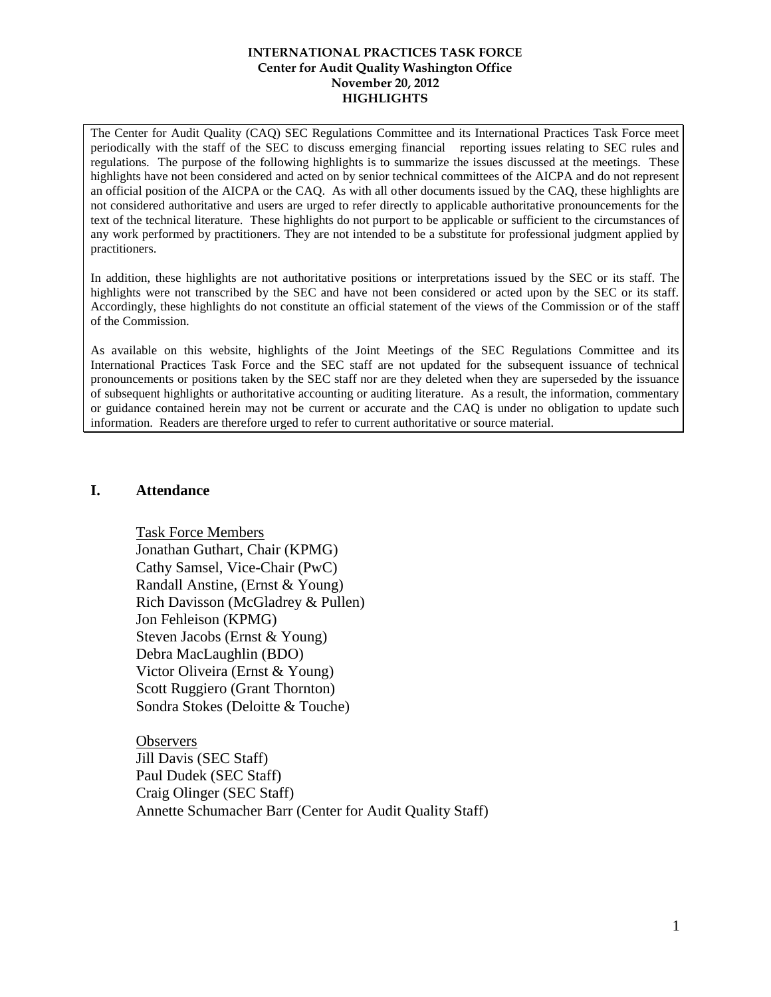The Center for Audit Quality (CAQ) SEC Regulations Committee and its International Practices Task Force meet periodically with the staff of the SEC to discuss emerging financial reporting issues relating to SEC rules and regulations. The purpose of the following highlights is to summarize the issues discussed at the meetings. These highlights have not been considered and acted on by senior technical committees of the AICPA and do not represent an official position of the AICPA or the CAQ. As with all other documents issued by the CAQ, these highlights are not considered authoritative and users are urged to refer directly to applicable authoritative pronouncements for the text of the technical literature. These highlights do not purport to be applicable or sufficient to the circumstances of any work performed by practitioners. They are not intended to be a substitute for professional judgment applied by practitioners.

In addition, these highlights are not authoritative positions or interpretations issued by the SEC or its staff. The highlights were not transcribed by the SEC and have not been considered or acted upon by the SEC or its staff. Accordingly, these highlights do not constitute an official statement of the views of the Commission or of the staff of the Commission.

As available on this website, highlights of the Joint Meetings of the SEC Regulations Committee and its International Practices Task Force and the SEC staff are not updated for the subsequent issuance of technical pronouncements or positions taken by the SEC staff nor are they deleted when they are superseded by the issuance of subsequent highlights or authoritative accounting or auditing literature. As a result, the information, commentary or guidance contained herein may not be current or accurate and the CAQ is under no obligation to update such information. Readers are therefore urged to refer to current authoritative or source material.

#### **I. Attendance**

Task Force Members Jonathan Guthart, Chair (KPMG) Cathy Samsel, Vice-Chair (PwC) Randall Anstine, (Ernst & Young) Rich Davisson (McGladrey & Pullen) Jon Fehleison (KPMG) Steven Jacobs (Ernst & Young) Debra MacLaughlin (BDO) Victor Oliveira (Ernst & Young) Scott Ruggiero (Grant Thornton) Sondra Stokes (Deloitte & Touche)

**Observers** Jill Davis (SEC Staff) Paul Dudek (SEC Staff) Craig Olinger (SEC Staff) Annette Schumacher Barr (Center for Audit Quality Staff)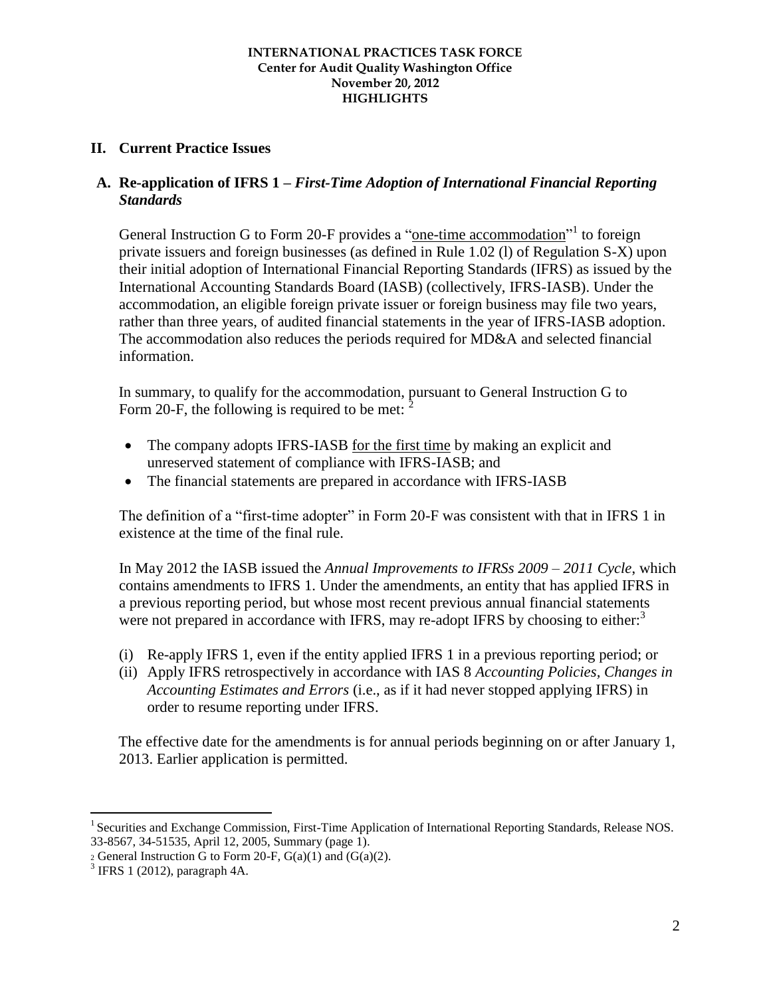# **II. Current Practice Issues**

# **A. Re-application of IFRS 1 –** *First-Time Adoption of International Financial Reporting Standards*

General Instruction G to Form 20-F provides a "one-time accommodation"<sup>1</sup> to foreign private issuers and foreign businesses (as defined in Rule 1.02 (l) of Regulation S-X) upon their initial adoption of International Financial Reporting Standards (IFRS) as issued by the International Accounting Standards Board (IASB) (collectively, IFRS-IASB). Under the accommodation, an eligible foreign private issuer or foreign business may file two years, rather than three years, of audited financial statements in the year of IFRS-IASB adoption. The accommodation also reduces the periods required for MD&A and selected financial information.

In summary, to qualify for the accommodation, pursuant to General Instruction G to Form 20-F, the following is required to be met:  $\tilde{c}$ 

- The company adopts IFRS-IASB for the first time by making an explicit and unreserved statement of compliance with IFRS-IASB; and
- The financial statements are prepared in accordance with IFRS-IASB

The definition of a "first-time adopter" in Form 20-F was consistent with that in IFRS 1 in existence at the time of the final rule.

In May 2012 the IASB issued the *Annual Improvements to IFRSs 2009 – 2011 Cycle*, which contains amendments to IFRS 1. Under the amendments, an entity that has applied IFRS in a previous reporting period, but whose most recent previous annual financial statements were not prepared in accordance with IFRS, may re-adopt IFRS by choosing to either:<sup>3</sup>

- (i) Re-apply IFRS 1, even if the entity applied IFRS 1 in a previous reporting period; or
- (ii) Apply IFRS retrospectively in accordance with IAS 8 *Accounting Policies, Changes in Accounting Estimates and Errors* (i.e., as if it had never stopped applying IFRS) in order to resume reporting under IFRS.

The effective date for the amendments is for annual periods beginning on or after January 1, 2013. Earlier application is permitted.

 $\overline{a}$ 

<sup>&</sup>lt;sup>1</sup> Securities and Exchange Commission, First-Time Application of International Reporting Standards, Release NOS. 33-8567, 34-51535, April 12, 2005, Summary (page 1).

<sup>2</sup> General Instruction G to Form 20-F,  $G(a)(1)$  and  $(G(a)(2)$ .

 $3$  IFRS 1 (2012), paragraph 4A.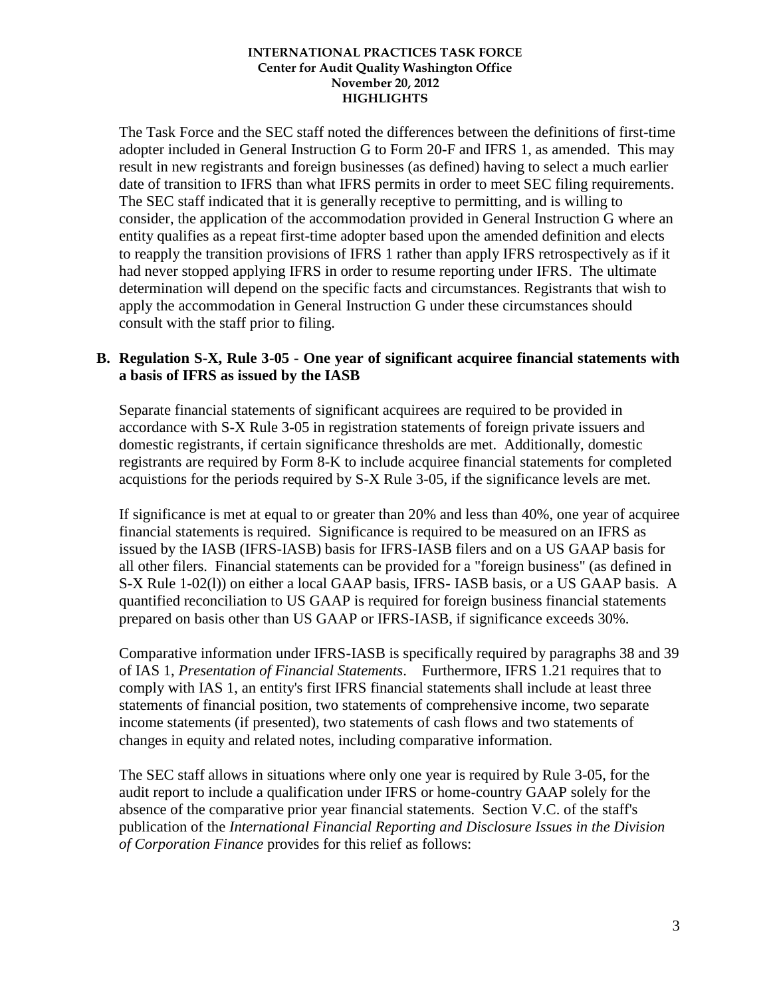The Task Force and the SEC staff noted the differences between the definitions of first-time adopter included in General Instruction G to Form 20-F and IFRS 1, as amended. This may result in new registrants and foreign businesses (as defined) having to select a much earlier date of transition to IFRS than what IFRS permits in order to meet SEC filing requirements. The SEC staff indicated that it is generally receptive to permitting, and is willing to consider, the application of the accommodation provided in General Instruction G where an entity qualifies as a repeat first-time adopter based upon the amended definition and elects to reapply the transition provisions of IFRS 1 rather than apply IFRS retrospectively as if it had never stopped applying IFRS in order to resume reporting under IFRS. The ultimate determination will depend on the specific facts and circumstances. Registrants that wish to apply the accommodation in General Instruction G under these circumstances should consult with the staff prior to filing.

### **B. Regulation S-X, Rule 3-05 - One year of significant acquiree financial statements with a basis of IFRS as issued by the IASB**

Separate financial statements of significant acquirees are required to be provided in accordance with S-X Rule 3-05 in registration statements of foreign private issuers and domestic registrants, if certain significance thresholds are met. Additionally, domestic registrants are required by Form 8-K to include acquiree financial statements for completed acquistions for the periods required by S-X Rule 3-05, if the significance levels are met.

If significance is met at equal to or greater than 20% and less than 40%, one year of acquiree financial statements is required. Significance is required to be measured on an IFRS as issued by the IASB (IFRS-IASB) basis for IFRS-IASB filers and on a US GAAP basis for all other filers. Financial statements can be provided for a "foreign business" (as defined in S-X Rule 1-02(l)) on either a local GAAP basis, IFRS- IASB basis, or a US GAAP basis. A quantified reconciliation to US GAAP is required for foreign business financial statements prepared on basis other than US GAAP or IFRS-IASB, if significance exceeds 30%.

Comparative information under IFRS-IASB is specifically required by paragraphs 38 and 39 of IAS 1, *Presentation of Financial Statements*. Furthermore, IFRS 1.21 requires that to comply with IAS 1, an entity's first IFRS financial statements shall include at least three statements of financial position, two statements of comprehensive income, two separate income statements (if presented), two statements of cash flows and two statements of changes in equity and related notes, including comparative information.

The SEC staff allows in situations where only one year is required by Rule 3-05, for the audit report to include a qualification under IFRS or home-country GAAP solely for the absence of the comparative prior year financial statements. Section V.C. of the staff's publication of the *International Financial Reporting and Disclosure Issues in the Division of Corporation Finance* provides for this relief as follows: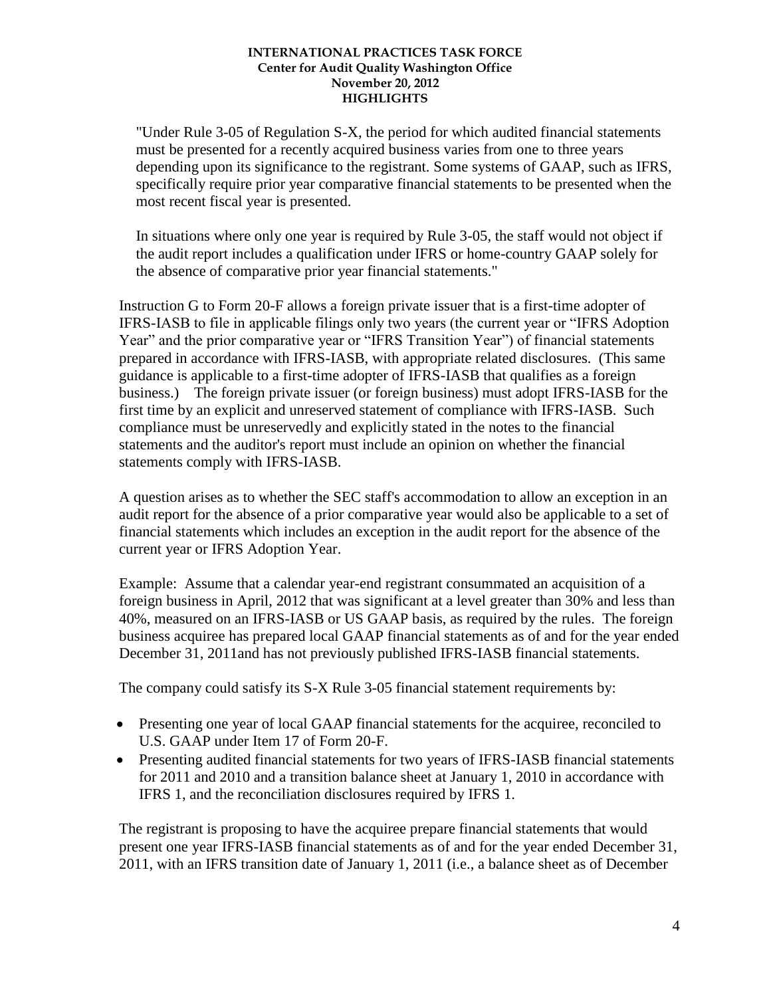"Under Rule 3-05 of Regulation S-X, the period for which audited financial statements must be presented for a recently acquired business varies from one to three years depending upon its significance to the registrant. Some systems of GAAP, such as IFRS, specifically require prior year comparative financial statements to be presented when the most recent fiscal year is presented.

In situations where only one year is required by Rule 3-05, the staff would not object if the audit report includes a qualification under IFRS or home-country GAAP solely for the absence of comparative prior year financial statements."

Instruction G to Form 20-F allows a foreign private issuer that is a first-time adopter of IFRS-IASB to file in applicable filings only two years (the current year or "IFRS Adoption Year" and the prior comparative year or "IFRS Transition Year") of financial statements prepared in accordance with IFRS-IASB, with appropriate related disclosures. (This same guidance is applicable to a first-time adopter of IFRS-IASB that qualifies as a foreign business.) The foreign private issuer (or foreign business) must adopt IFRS-IASB for the first time by an explicit and unreserved statement of compliance with IFRS-IASB. Such compliance must be unreservedly and explicitly stated in the notes to the financial statements and the auditor's report must include an opinion on whether the financial statements comply with IFRS-IASB.

A question arises as to whether the SEC staff's accommodation to allow an exception in an audit report for the absence of a prior comparative year would also be applicable to a set of financial statements which includes an exception in the audit report for the absence of the current year or IFRS Adoption Year.

Example: Assume that a calendar year-end registrant consummated an acquisition of a foreign business in April, 2012 that was significant at a level greater than 30% and less than 40%, measured on an IFRS-IASB or US GAAP basis, as required by the rules. The foreign business acquiree has prepared local GAAP financial statements as of and for the year ended December 31, 2011and has not previously published IFRS-IASB financial statements.

The company could satisfy its S-X Rule 3-05 financial statement requirements by:

- Presenting one year of local GAAP financial statements for the acquiree, reconciled to U.S. GAAP under Item 17 of Form 20-F.
- Presenting audited financial statements for two years of IFRS-IASB financial statements for 2011 and 2010 and a transition balance sheet at January 1, 2010 in accordance with IFRS 1, and the reconciliation disclosures required by IFRS 1.

The registrant is proposing to have the acquiree prepare financial statements that would present one year IFRS-IASB financial statements as of and for the year ended December 31, 2011, with an IFRS transition date of January 1, 2011 (i.e., a balance sheet as of December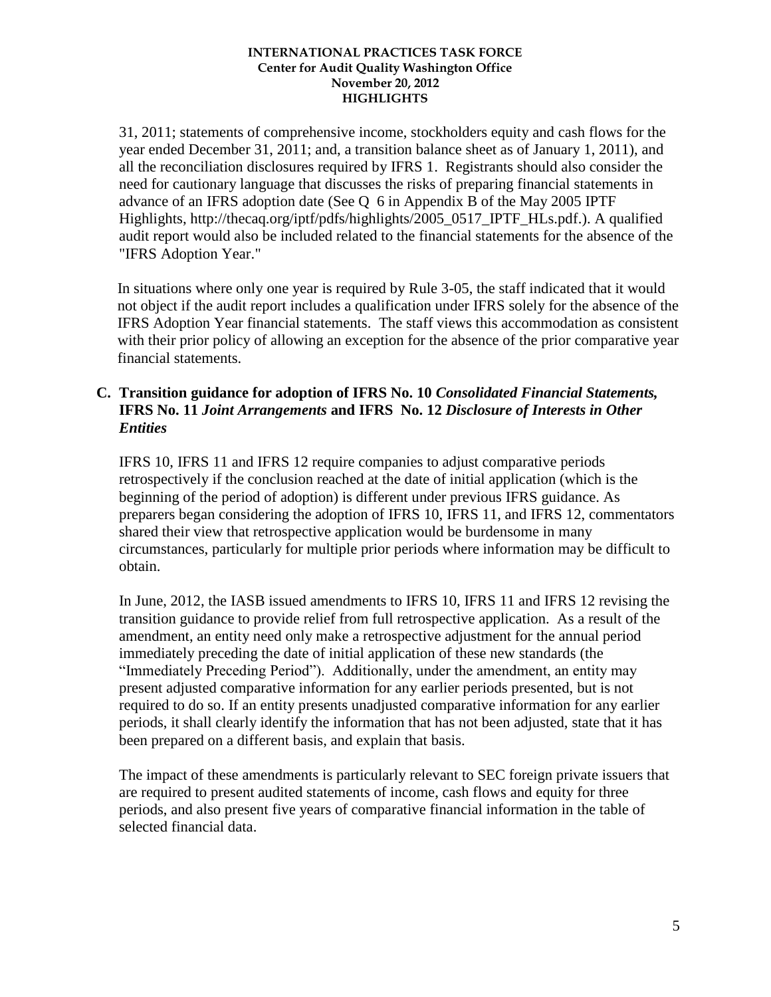31, 2011; statements of comprehensive income, stockholders equity and cash flows for the year ended December 31, 2011; and, a transition balance sheet as of January 1, 2011), and all the reconciliation disclosures required by IFRS 1. Registrants should also consider the need for cautionary language that discusses the risks of preparing financial statements in advance of an IFRS adoption date (See Q 6 in Appendix B of the May 2005 IPTF Highlights, http://thecaq.org/iptf/pdfs/highlights/2005\_0517\_IPTF\_HLs.pdf.). A qualified audit report would also be included related to the financial statements for the absence of the "IFRS Adoption Year."

In situations where only one year is required by Rule 3-05, the staff indicated that it would not object if the audit report includes a qualification under IFRS solely for the absence of the IFRS Adoption Year financial statements. The staff views this accommodation as consistent with their prior policy of allowing an exception for the absence of the prior comparative year financial statements.

### **C. Transition guidance for adoption of IFRS No. 10** *Consolidated Financial Statements,*  **IFRS No. 11** *Joint Arrangements* **and IFRS No. 12** *Disclosure of Interests in Other Entities*

IFRS 10, IFRS 11 and IFRS 12 require companies to adjust comparative periods retrospectively if the conclusion reached at the date of initial application (which is the beginning of the period of adoption) is different under previous IFRS guidance. As preparers began considering the adoption of IFRS 10, IFRS 11, and IFRS 12, commentators shared their view that retrospective application would be burdensome in many circumstances, particularly for multiple prior periods where information may be difficult to obtain.

In June, 2012, the IASB issued amendments to IFRS 10, IFRS 11 and IFRS 12 revising the transition guidance to provide relief from full retrospective application. As a result of the amendment, an entity need only make a retrospective adjustment for the annual period immediately preceding the date of initial application of these new standards (the "Immediately Preceding Period"). Additionally, under the amendment, an entity may present adjusted comparative information for any earlier periods presented, but is not required to do so. If an entity presents unadjusted comparative information for any earlier periods, it shall clearly identify the information that has not been adjusted, state that it has been prepared on a different basis, and explain that basis.

The impact of these amendments is particularly relevant to SEC foreign private issuers that are required to present audited statements of income, cash flows and equity for three periods, and also present five years of comparative financial information in the table of selected financial data.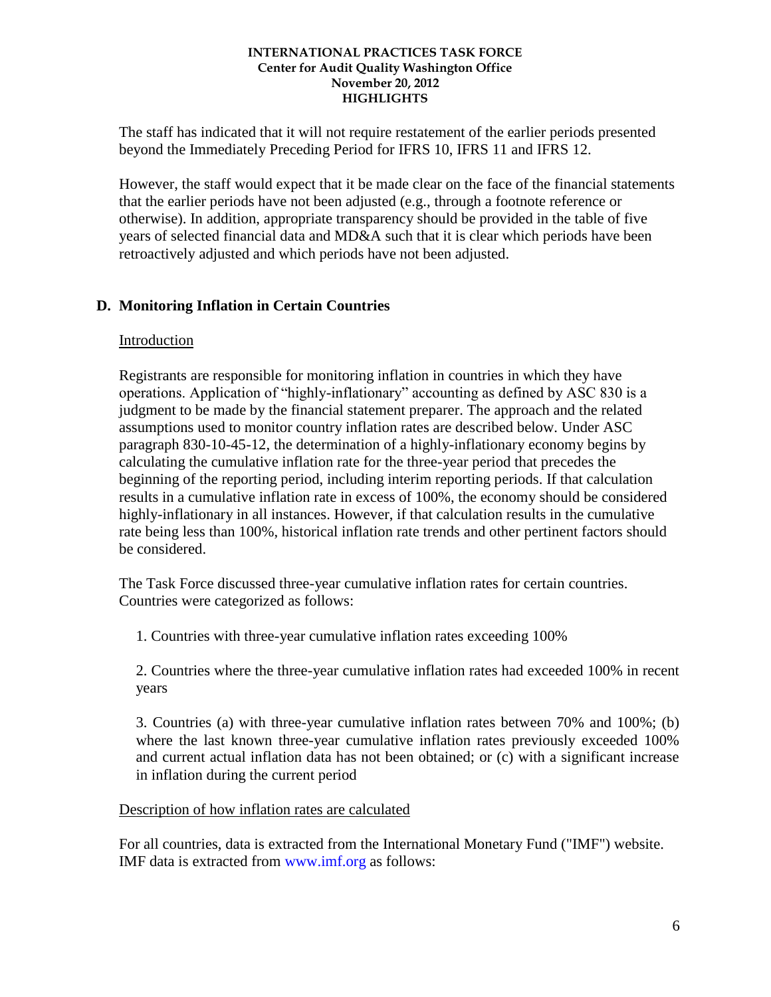The staff has indicated that it will not require restatement of the earlier periods presented beyond the Immediately Preceding Period for IFRS 10, IFRS 11 and IFRS 12.

However, the staff would expect that it be made clear on the face of the financial statements that the earlier periods have not been adjusted (e.g., through a footnote reference or otherwise). In addition, appropriate transparency should be provided in the table of five years of selected financial data and MD&A such that it is clear which periods have been retroactively adjusted and which periods have not been adjusted.

# **D. Monitoring Inflation in Certain Countries**

### Introduction

Registrants are responsible for monitoring inflation in countries in which they have operations. Application of "highly-inflationary" accounting as defined by ASC 830 is a judgment to be made by the financial statement preparer. The approach and the related assumptions used to monitor country inflation rates are described below. Under ASC paragraph 830-10-45-12, the determination of a highly-inflationary economy begins by calculating the cumulative inflation rate for the three-year period that precedes the beginning of the reporting period, including interim reporting periods. If that calculation results in a cumulative inflation rate in excess of 100%, the economy should be considered highly-inflationary in all instances. However, if that calculation results in the cumulative rate being less than 100%, historical inflation rate trends and other pertinent factors should be considered.

The Task Force discussed three-year cumulative inflation rates for certain countries. Countries were categorized as follows:

1. Countries with three-year cumulative inflation rates exceeding 100%

2. Countries where the three-year cumulative inflation rates had exceeded 100% in recent years

3. Countries (a) with three-year cumulative inflation rates between 70% and 100%; (b) where the last known three-year cumulative inflation rates previously exceeded 100% and current actual inflation data has not been obtained; or (c) with a significant increase in inflation during the current period

### Description of how inflation rates are calculated

For all countries, data is extracted from the International Monetary Fund ("IMF") website. IMF data is extracted from www.imf.org as follows: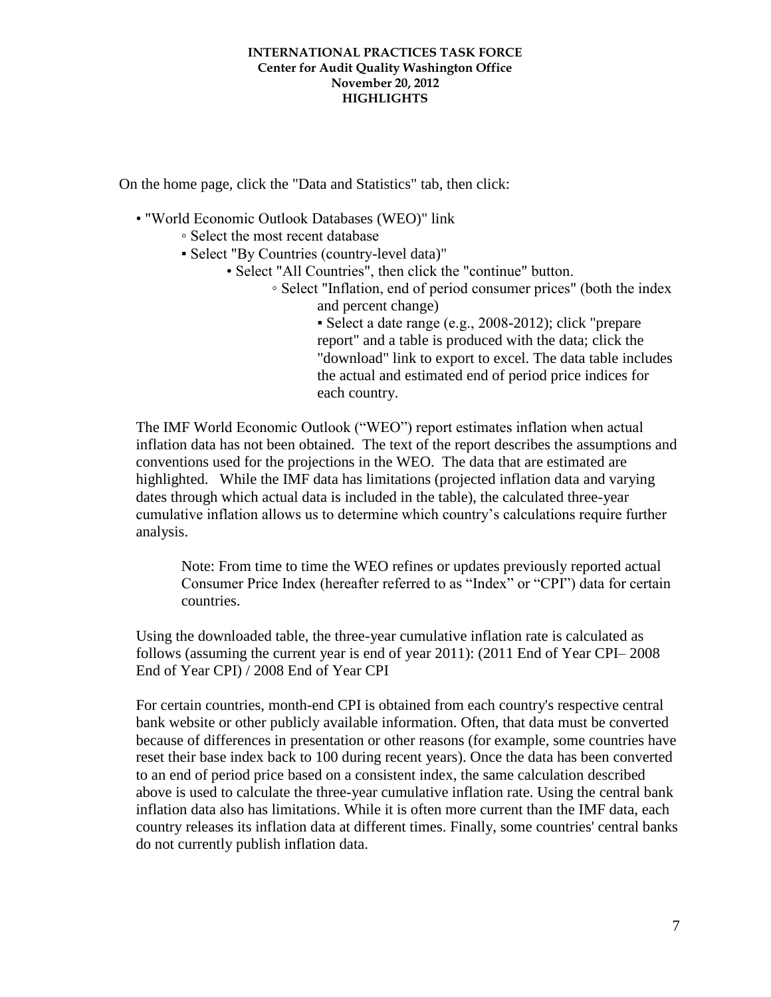On the home page, click the "Data and Statistics" tab, then click:

- "World Economic Outlook Databases (WEO)" link
	- Select the most recent database
	- Select "By Countries (country-level data)"
		- Select "All Countries", then click the "continue" button.
			- Select "Inflation, end of period consumer prices" (both the index and percent change)
				- Select a date range (e.g., 2008-2012); click "prepare report" and a table is produced with the data; click the "download" link to export to excel. The data table includes the actual and estimated end of period price indices for each country.

The IMF World Economic Outlook ("WEO") report estimates inflation when actual inflation data has not been obtained. The text of the report describes the assumptions and conventions used for the projections in the WEO. The data that are estimated are highlighted. While the IMF data has limitations (projected inflation data and varying dates through which actual data is included in the table), the calculated three-year cumulative inflation allows us to determine which country's calculations require further analysis.

Note: From time to time the WEO refines or updates previously reported actual Consumer Price Index (hereafter referred to as "Index" or "CPI") data for certain countries.

Using the downloaded table, the three-year cumulative inflation rate is calculated as follows (assuming the current year is end of year 2011): (2011 End of Year CPI– 2008 End of Year CPI) / 2008 End of Year CPI

For certain countries, month-end CPI is obtained from each country's respective central bank website or other publicly available information. Often, that data must be converted because of differences in presentation or other reasons (for example, some countries have reset their base index back to 100 during recent years). Once the data has been converted to an end of period price based on a consistent index, the same calculation described above is used to calculate the three-year cumulative inflation rate. Using the central bank inflation data also has limitations. While it is often more current than the IMF data, each country releases its inflation data at different times. Finally, some countries' central banks do not currently publish inflation data.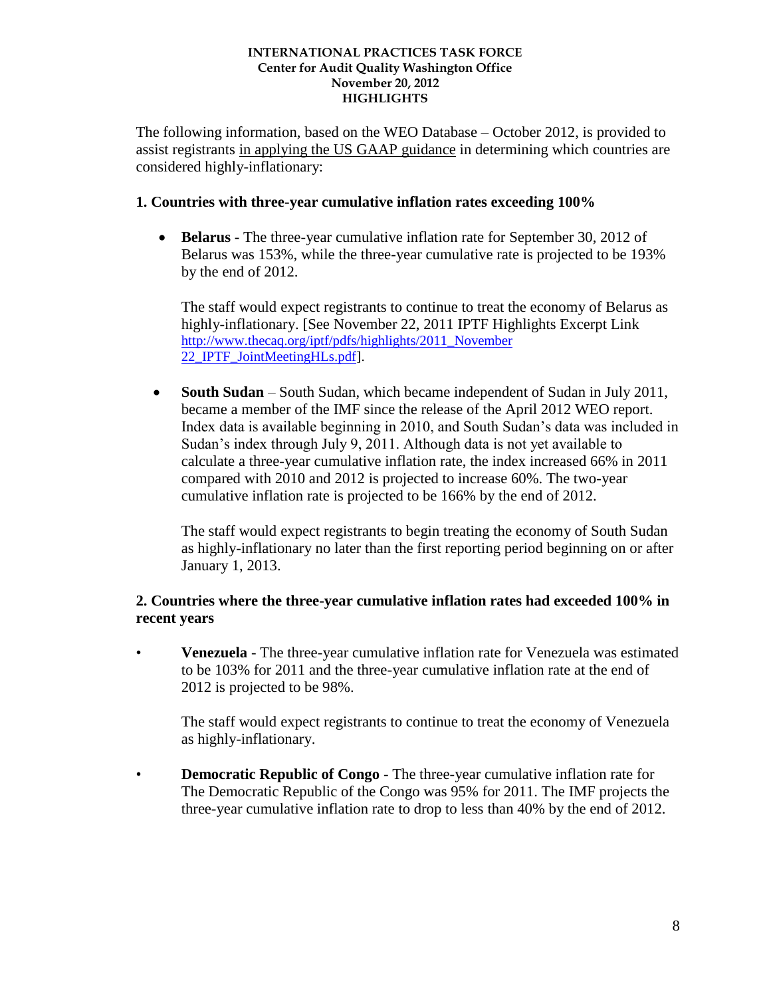The following information, based on the WEO Database – October 2012, is provided to assist registrants in applying the US GAAP guidance in determining which countries are considered highly-inflationary:

### **1. Countries with three-year cumulative inflation rates exceeding 100%**

 **Belarus -** The three-year cumulative inflation rate for September 30, 2012 of Belarus was 153%, while the three-year cumulative rate is projected to be 193% by the end of 2012.

The staff would expect registrants to continue to treat the economy of Belarus as highly-inflationary. [See November 22, 2011 IPTF Highlights Excerpt Link http://www.thecaq.org/iptf/pdfs/highlights/2011\_November [22\\_IPTF\\_JointMeetingHLs.pdf\]](http://www.thecaq.org/iptf/pdfs/highlights/2011_November%2022_IPTF_JointMeetingHLs.pdf).

 **South Sudan** – South Sudan, which became independent of Sudan in July 2011, became a member of the IMF since the release of the April 2012 WEO report. Index data is available beginning in 2010, and South Sudan's data was included in Sudan's index through July 9, 2011. Although data is not yet available to calculate a three-year cumulative inflation rate, the index increased 66% in 2011 compared with 2010 and 2012 is projected to increase 60%. The two-year cumulative inflation rate is projected to be 166% by the end of 2012.

The staff would expect registrants to begin treating the economy of South Sudan as highly-inflationary no later than the first reporting period beginning on or after January 1, 2013.

# **2. Countries where the three-year cumulative inflation rates had exceeded 100% in recent years**

• **Venezuela** - The three-year cumulative inflation rate for Venezuela was estimated to be 103% for 2011 and the three-year cumulative inflation rate at the end of 2012 is projected to be 98%.

The staff would expect registrants to continue to treat the economy of Venezuela as highly-inflationary.

• **Democratic Republic of Congo** - The three-year cumulative inflation rate for The Democratic Republic of the Congo was 95% for 2011. The IMF projects the three-year cumulative inflation rate to drop to less than 40% by the end of 2012.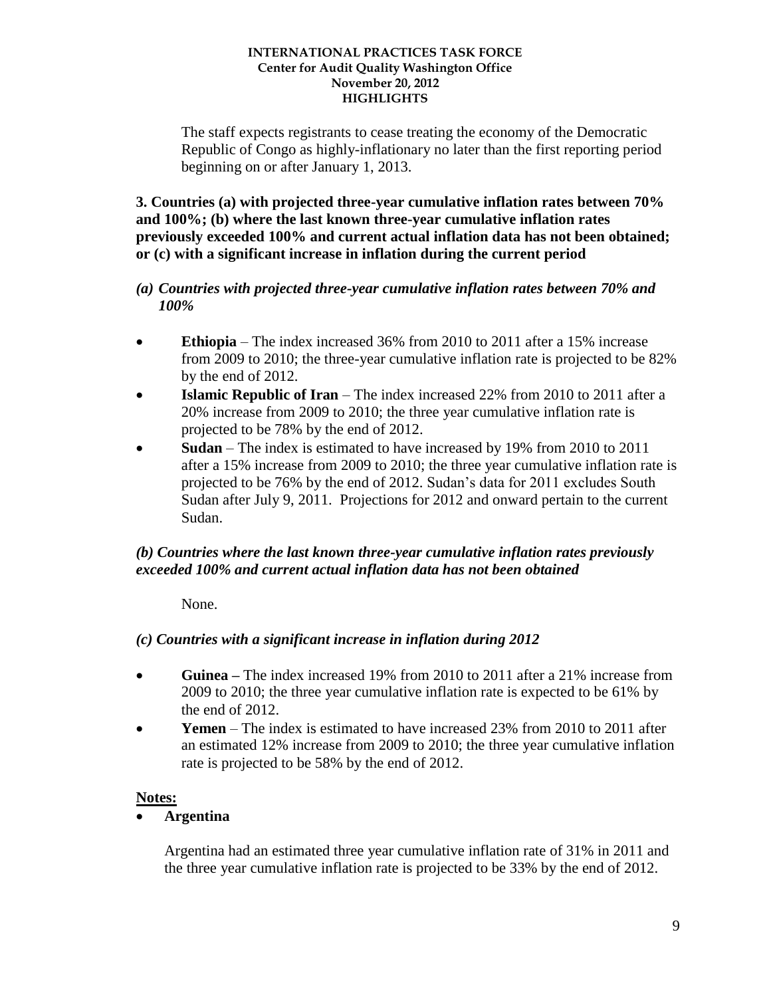The staff expects registrants to cease treating the economy of the Democratic Republic of Congo as highly-inflationary no later than the first reporting period beginning on or after January 1, 2013.

**3. Countries (a) with projected three-year cumulative inflation rates between 70% and 100%; (b) where the last known three-year cumulative inflation rates previously exceeded 100% and current actual inflation data has not been obtained; or (c) with a significant increase in inflation during the current period** 

### *(a) Countries with projected three-year cumulative inflation rates between 70% and 100%*

- **Ethiopia**  The index increased 36% from 2010 to 2011 after a 15% increase from 2009 to 2010; the three-year cumulative inflation rate is projected to be 82% by the end of 2012.
- **Islamic Republic of Iran** The index increased 22% from 2010 to 2011 after a 20% increase from 2009 to 2010; the three year cumulative inflation rate is projected to be 78% by the end of 2012.
- **Sudan** The index is estimated to have increased by 19% from 2010 to 2011 after a 15% increase from 2009 to 2010; the three year cumulative inflation rate is projected to be 76% by the end of 2012. Sudan's data for 2011 excludes South Sudan after July 9, 2011. Projections for 2012 and onward pertain to the current Sudan.

# *(b) Countries where the last known three-year cumulative inflation rates previously exceeded 100% and current actual inflation data has not been obtained*

None.

# *(c) Countries with a significant increase in inflation during 2012*

- **Guinea –** The index increased 19% from 2010 to 2011 after a 21% increase from 2009 to 2010; the three year cumulative inflation rate is expected to be 61% by the end of 2012.
- **Yemen** The index is estimated to have increased 23% from 2010 to 2011 after an estimated 12% increase from 2009 to 2010; the three year cumulative inflation rate is projected to be 58% by the end of 2012.

# **Notes:**

# **Argentina**

Argentina had an estimated three year cumulative inflation rate of 31% in 2011 and the three year cumulative inflation rate is projected to be 33% by the end of 2012.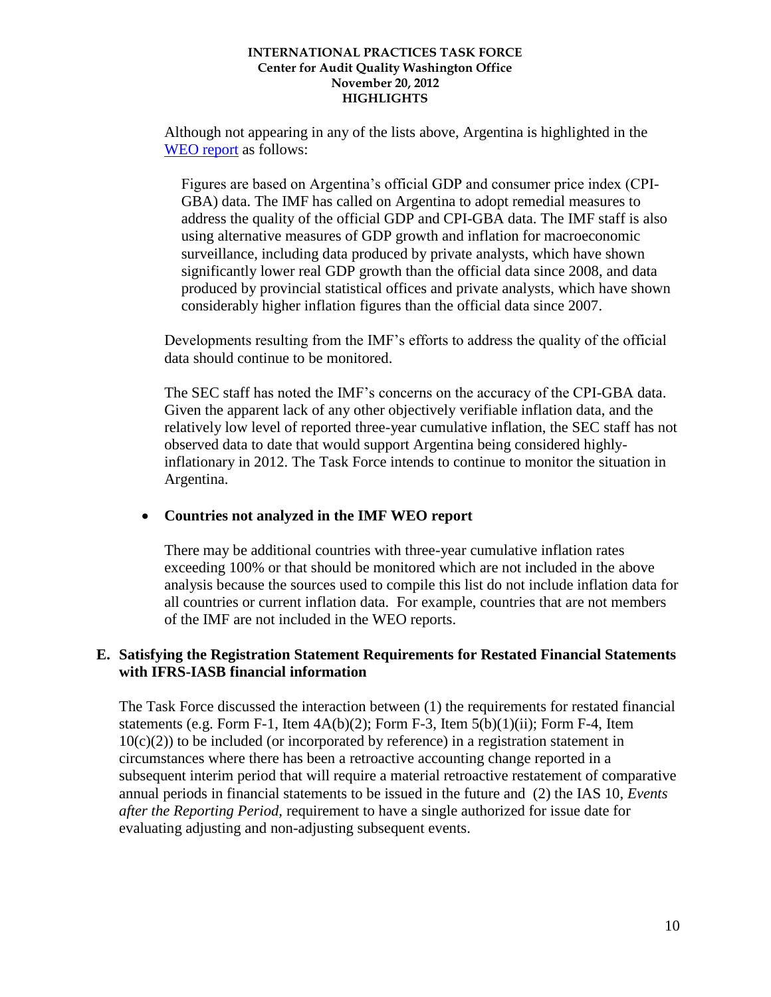Although not appearing in any of the lists above, Argentina is highlighted in the [WEO report](http://www.imf.org/external/pubs/ft/weo/2012/01/weodata/weorept.aspx?sy=2010&ey=2017&scsm=1&ssd=1&sort=country&ds=.&br=1&c=213&s=PCPI%2CPCPIPCH%2CPCPIE%2CPCPIEPCH&grp=0&a=&pr1.x=59&pr1.y=9) as follows:

Figures are based on Argentina's official GDP and consumer price index (CPI-GBA) data. The IMF has called on Argentina to adopt remedial measures to address the quality of the official GDP and CPI-GBA data. The IMF staff is also using alternative measures of GDP growth and inflation for macroeconomic surveillance, including data produced by private analysts, which have shown significantly lower real GDP growth than the official data since 2008, and data produced by provincial statistical offices and private analysts, which have shown considerably higher inflation figures than the official data since 2007.

Developments resulting from the IMF's efforts to address the quality of the official data should continue to be monitored.

The SEC staff has noted the IMF's concerns on the accuracy of the CPI-GBA data. Given the apparent lack of any other objectively verifiable inflation data, and the relatively low level of reported three-year cumulative inflation, the SEC staff has not observed data to date that would support Argentina being considered highlyinflationary in 2012. The Task Force intends to continue to monitor the situation in Argentina.

# **Countries not analyzed in the IMF WEO report**

There may be additional countries with three-year cumulative inflation rates exceeding 100% or that should be monitored which are not included in the above analysis because the sources used to compile this list do not include inflation data for all countries or current inflation data. For example, countries that are not members of the IMF are not included in the WEO reports.

### **E. Satisfying the Registration Statement Requirements for Restated Financial Statements with IFRS-IASB financial information**

The Task Force discussed the interaction between (1) the requirements for restated financial statements (e.g. Form F-1, Item  $4A(b)(2)$ ; Form F-3, Item  $5(b)(1)(ii)$ ; Form F-4, Item  $10(c)(2)$ ) to be included (or incorporated by reference) in a registration statement in circumstances where there has been a retroactive accounting change reported in a subsequent interim period that will require a material retroactive restatement of comparative annual periods in financial statements to be issued in the future and (2) the IAS 10, *Events after the Reporting Period,* requirement to have a single authorized for issue date for evaluating adjusting and non-adjusting subsequent events.